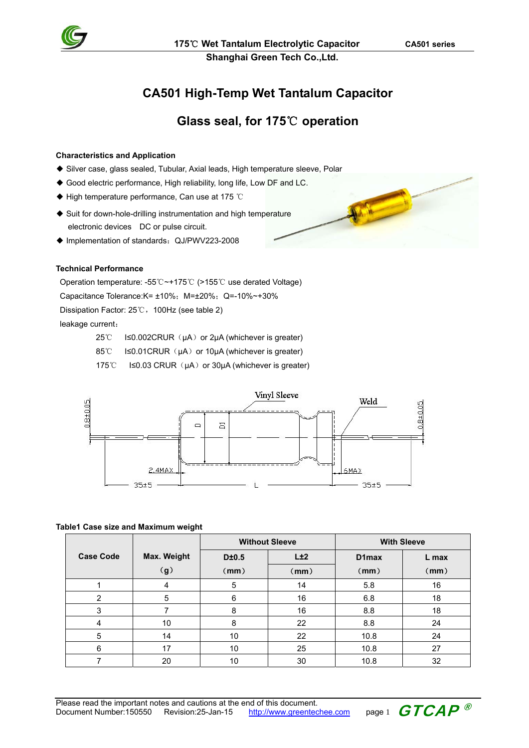

MA Company

**Shanghai Green Tech Co.,Ltd.** 

# **CA501 High-Temp Wet Tantalum Capacitor**

# **Glass seal, for 175**℃ **operation**

### **Characteristics and Application**

- ◆ Silver case, glass sealed, Tubular, Axial leads, High temperature sleeve, Polar
- ◆ Good electric performance, High reliability, long life, Low DF and LC.
- ◆ High temperature performance, Can use at 175 ℃
- ◆ Suit for down-hole-drilling instrumentation and high temperature electronic devices DC or pulse circuit.
- ◆ Implementation of standards: QJ/PWV223-2008

## **Technical Performance**

Operation temperature: -55℃~+175℃ (>155℃ use derated Voltage) Capacitance Tolerance: K =  $\pm 10\%$ ; M =  $\pm 20\%$ ; Q = -10% ~ +30% Dissipation Factor: 25℃,100Hz (see table 2) leakage current:

- $25^{\circ}$  I≤0.002CRUR ( $\mu$ A) or 2 $\mu$ A (whichever is greater)
- 85℃ I≤0.01CRUR (μA) or 10μA (whichever is greater)

175℃ I≤0.03 CRUR (µA) or 30µA (whichever is greater)



#### **Table1 Case size and Maximum weight**

|                  |             |       | <b>Without Sleeve</b> |       | <b>With Sleeve</b> |
|------------------|-------------|-------|-----------------------|-------|--------------------|
| <b>Case Code</b> | Max. Weight | D±0.5 | L±2                   | D1max | L max              |
|                  | (g)         | (mm)  | (mm)                  | (mm)  | (mm)               |
|                  | 4           | 5     | 14                    | 5.8   | 16                 |
| $\overline{2}$   | 5           | 6     | 16                    | 6.8   | 18                 |
| 3                |             | 8     | 16                    | 8.8   | 18                 |
| 4                | 10          | 8     | 22                    | 8.8   | 24                 |
| 5                | 14          | 10    | 22                    | 10.8  | 24                 |
| 6                | 17          | 10    | 25                    | 10.8  | 27                 |
|                  | 20          | 10    | 30                    | 10.8  | 32                 |

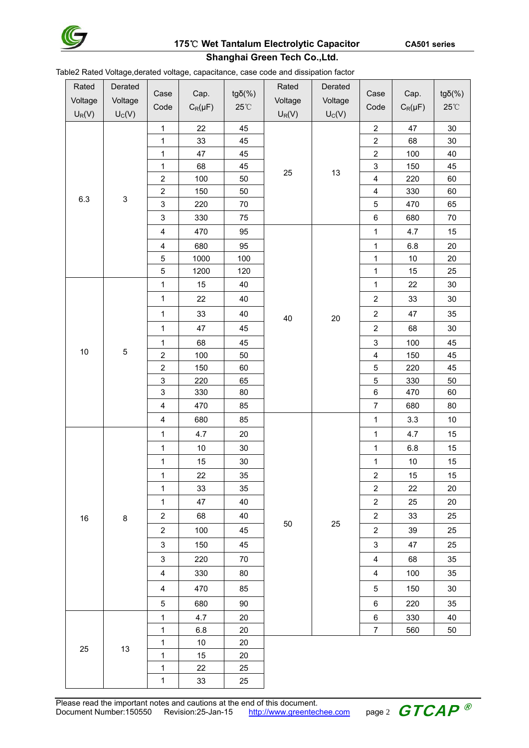

# **175**℃ **Wet Tantalum Electrolytic Capacitor CA501 series**

# **Shanghai Green Tech Co.,Ltd.**

Table2 Rated Voltage,derated voltage, capacitance, case code and dissipation factor

| Rated    | -9-1-<br>Derated |                              |              |                 | Rated    | Derated  |                                    |              |                        |
|----------|------------------|------------------------------|--------------|-----------------|----------|----------|------------------------------------|--------------|------------------------|
| Voltage  | Voltage          | Case                         | Cap.         | $tg\delta(\% )$ | Voltage  | Voltage  | Case                               | Cap.         | $tg\delta(\% )$        |
|          |                  | Code                         | $C_R(\mu F)$ | $25^{\circ}$ C  |          |          | Code                               | $C_R(\mu F)$ | $25^{\circ}\mathrm{C}$ |
| $U_R(V)$ | $U_C(V)$         |                              |              |                 | $U_R(V)$ | $U_C(V)$ |                                    |              |                        |
|          |                  | $\mathbf{1}$<br>$\mathbf{1}$ | 22<br>33     | 45<br>45        |          |          | $\boldsymbol{2}$<br>$\overline{c}$ | 47<br>68     | $30\,$<br>30           |
|          |                  | $\mathbf{1}$                 | 47           | 45              | 25       | 13       | $\overline{c}$                     | 100          | 40                     |
|          |                  | $\mathbf 1$                  | 68           | 45              |          |          | $\mathsf 3$                        | 150          | 45                     |
|          |                  | $\boldsymbol{2}$             | 100          | 50              |          |          | $\overline{\mathbf{4}}$            | 220          | 60                     |
|          |                  | $\overline{\mathbf{c}}$      | 150          | 50              |          |          | $\overline{\mathbf{4}}$            | 330          | 60                     |
| 6.3      | $\mathbf{3}$     | $\ensuremath{\mathsf{3}}$    | 220          | 70              |          |          | 5                                  | 470          | 65                     |
|          |                  | $\ensuremath{\mathsf{3}}$    | 330          | 75              |          |          | $\,6$                              | 680          | 70                     |
|          |                  | $\overline{\mathbf{4}}$      | 470          | 95              |          |          | $\mathbf{1}$                       | 4.7          | 15                     |
|          |                  | $\overline{\mathbf{4}}$      | 680          | 95              |          |          | $\mathbf 1$                        | 6.8          | $20\,$                 |
|          |                  | $\mathbf 5$                  | 1000         | 100             |          |          | $\mathbf{1}$                       | $10$         | 20                     |
|          |                  | $\mathbf 5$                  | 1200         | 120             |          |          | $\mathbf{1}$                       | 15           | 25                     |
|          |                  | $\mathbf{1}$                 | 15           | 40              |          |          | $\mathbf{1}$                       | 22           | 30                     |
|          |                  | $\mathbf{1}$                 | 22           | 40              |          |          | $\overline{2}$                     | 33           | 30                     |
|          |                  | $\mathbf{1}$                 | 33           | 40              | 40       | $20\,$   | $\overline{c}$                     | 47           | 35                     |
|          |                  | $\mathbf{1}$                 | 47           | 45              |          | 25       | $\overline{2}$                     | 68           | $30\,$                 |
| 10       |                  | $\mathbf{1}$                 | 68           | 45              |          |          | $\ensuremath{\mathsf{3}}$          | 100          | 45                     |
|          | 5                | $\mathbf 2$                  | 100          | 50              |          |          | $\overline{\mathbf{4}}$            | 150          | 45                     |
|          |                  | $\boldsymbol{2}$             | 150          | 60              |          |          | 5                                  | 220          | 45                     |
|          |                  | $\overline{3}$               | 220          | 65              |          |          | 5                                  | 330          | 50                     |
|          |                  | $\ensuremath{\mathsf{3}}$    | 330          | 80              |          |          | $\,6$                              | 470          | 60                     |
|          |                  | $\overline{\mathbf{4}}$      | 470          | 85              |          |          | $\overline{7}$                     | 680          | 80                     |
|          |                  | $\overline{\mathbf{4}}$      | 680          | 85              |          |          | $\mathbf{1}$                       | 3.3          | $10$                   |
|          | 8<br>13          | $\mathbf{1}$                 | 4.7          | 20              |          |          | $\mathbf{1}$                       | 4.7          | 15                     |
|          |                  | $\mathbf{1}$                 | $10\,$       | 30              |          |          | $\mathbf 1$                        | 6.8          | 15                     |
|          |                  | $\mathbf 1$                  | 15           | $30\,$          |          |          | $\mathbf{1}$                       | $10\,$       | 15                     |
|          |                  | $\mathbf{1}$                 | 22           | 35              |          |          | 2                                  | 15           | 15                     |
|          |                  | $\mathbf{1}$                 | 33           | 35              |          |          | $\overline{c}$                     | 22           | 20                     |
| 16<br>25 |                  | $\mathbf{1}$                 | 47           | 40              |          |          | $\overline{c}$                     | 25           | 20                     |
|          |                  | $\overline{a}$               | 68           | 40              |          |          | $\overline{2}$                     | 33           | 25                     |
|          |                  | $\overline{2}$               | 100          | 45              | 50       |          | $\overline{c}$                     | 39           | 25                     |
|          |                  | $\ensuremath{\mathsf{3}}$    | 150          | 45              |          |          | 3                                  | 47           | 25                     |
|          |                  | 3                            | 220          | 70              |          |          | $\overline{\mathbf{4}}$            | 68           | 35                     |
|          |                  | $\overline{\mathbf{4}}$      | 330          | 80              |          |          | 4                                  | 100          | 35                     |
|          |                  | $\overline{\mathbf{4}}$      | 470          | 85              |          |          | 5                                  | 150          | 30                     |
|          |                  | 5                            | 680          | 90              |          |          | $\,6\,$                            | 220          | 35                     |
|          |                  | $\mathbf{1}$                 | 4.7          | 20              |          |          | 6                                  | 330          | 40                     |
|          |                  | $\mathbf{1}$                 | 6.8          | 20              |          |          | $\overline{7}$                     | 560          | 50                     |
|          |                  | $\mathbf{1}$                 | 10           | 20              |          |          |                                    |              |                        |
|          |                  | $\mathbf{1}$                 | 15           | 20              |          |          |                                    |              |                        |
|          |                  | $\mathbf{1}$                 | 22           | 25              |          |          |                                    |              |                        |
|          |                  | $\mathbf{1}$                 | 33           | 25              |          |          |                                    |              |                        |

Please read the important notes and cautions at the end of this document. Document Number:150550 Revision:25-Jan-15 http://www.greentechee.com page 2